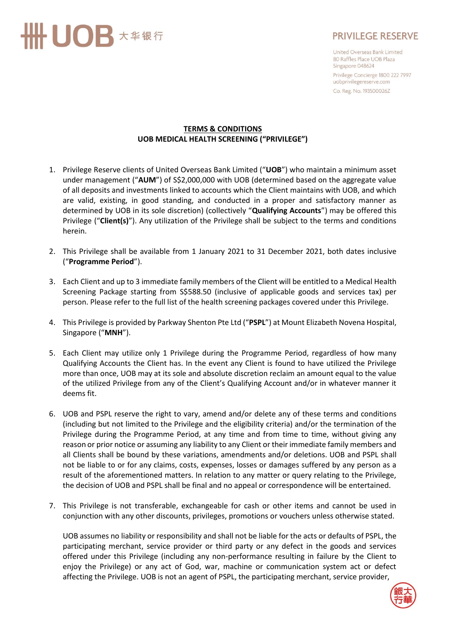

## **PRIVILEGE RESERVE**

United Overseas Bank Limited 80 Raffles Place UOB Plaza Singapore 048624 Privilege Concierge 1800 222 7997 uobprivilegereserve.com

Co. Reg. No. 193500026Z

## **TERMS & CONDITIONS UOB MEDICAL HEALTH SCREENING ("PRIVILEGE")**

- 1. Privilege Reserve clients of United Overseas Bank Limited ("**UOB**") who maintain a minimum asset under management ("**AUM**") of S\$2,000,000 with UOB (determined based on the aggregate value of all deposits and investments linked to accounts which the Client maintains with UOB, and which are valid, existing, in good standing, and conducted in a proper and satisfactory manner as determined by UOB in its sole discretion) (collectively "**Qualifying Accounts**") may be offered this Privilege ("**Client(s)**"). Any utilization of the Privilege shall be subject to the terms and conditions herein.
- 2. This Privilege shall be available from 1 January 2021 to 31 December 2021, both dates inclusive ("**Programme Period**").
- 3. Each Client and up to 3 immediate family members of the Client will be entitled to a Medical Health Screening Package starting from S\$588.50 (inclusive of applicable goods and services tax) per person. Please refer to the full list of the health screening packages covered under this Privilege.
- 4. This Privilege is provided by Parkway Shenton Pte Ltd ("**PSPL**") at Mount Elizabeth Novena Hospital, Singapore ("**MNH**").
- 5. Each Client may utilize only 1 Privilege during the Programme Period, regardless of how many Qualifying Accounts the Client has. In the event any Client is found to have utilized the Privilege more than once, UOB may at its sole and absolute discretion reclaim an amount equal to the value of the utilized Privilege from any of the Client's Qualifying Account and/or in whatever manner it deems fit.
- 6. UOB and PSPL reserve the right to vary, amend and/or delete any of these terms and conditions (including but not limited to the Privilege and the eligibility criteria) and/or the termination of the Privilege during the Programme Period, at any time and from time to time, without giving any reason or prior notice or assuming any liability to any Client or their immediate family members and all Clients shall be bound by these variations, amendments and/or deletions. UOB and PSPL shall not be liable to or for any claims, costs, expenses, losses or damages suffered by any person as a result of the aforementioned matters. In relation to any matter or query relating to the Privilege, the decision of UOB and PSPL shall be final and no appeal or correspondence will be entertained.
- 7. This Privilege is not transferable, exchangeable for cash or other items and cannot be used in conjunction with any other discounts, privileges, promotions or vouchers unless otherwise stated.

UOB assumes no liability or responsibility and shall not be liable for the acts or defaults of PSPL, the participating merchant, service provider or third party or any defect in the goods and services offered under this Privilege (including any non-performance resulting in failure by the Client to enjoy the Privilege) or any act of God, war, machine or communication system act or defect affecting the Privilege. UOB is not an agent of PSPL, the participating merchant, service provider,